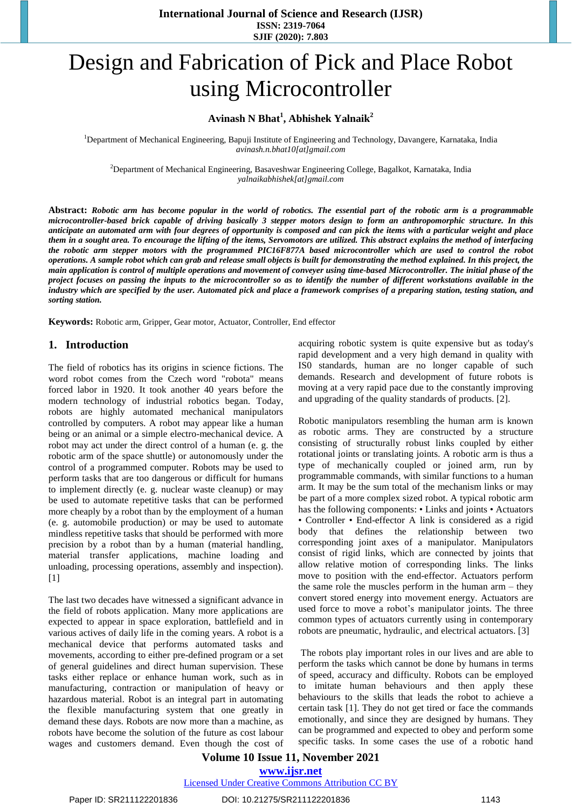**International Journal of Science and Research (IJSR) ISSN: 2319-7064 SJIF (2020): 7.803**

# Design and Fabrication of Pick and Place Robot using Microcontroller

# **Avinash N Bhat<sup>1</sup> , Abhishek Yalnaik<sup>2</sup>**

<sup>1</sup>Department of Mechanical Engineering, Bapuji Institute of Engineering and Technology, Davangere, Karnataka, India *avinash.n.bhat10[at]gmail.com*

<sup>2</sup>Department of Mechanical Engineering, Basaveshwar Engineering College, Bagalkot, Karnataka, India *yalnaikabhishek[at]gmail.com*

Abstract: Robotic arm has become popular in the world of robotics. The essential part of the robotic arm is a programmable microcontroller-based brick capable of driving basically 3 stepper motors design to form an anthropomorphic structure. In this anticipate an automated arm with four degrees of opportunity is composed and can pick the items with a particular weight and place them in a sought area. To encourage the lifting of the items, Servomotors are utilized. This abstract explains the method of interfacing the robotic arm stepper motors with the programmed PIC16F877A based microcontroller which are used to control the robot operations. A sample robot which can grab and release small objects is built for demonstrating the method explained. In this project, the main application is control of multiple operations and movement of conveyer using time-based Microcontroller. The initial phase of the project focuses on passing the inputs to the microcontroller so as to identify the number of different workstations available in the industry which are specified by the user. Automated pick and place a framework comprises of a preparing station, testing station, and *sorting station.* 

**Keywords:** Robotic arm, Gripper, Gear motor, Actuator, Controller, End effector

#### **1. Introduction**

The field of robotics has its origins in science fictions. The word robot comes from the Czech word "robota" means forced labor in 1920. It took another 40 years before the modern technology of industrial robotics began. Today, robots are highly automated mechanical manipulators controlled by computers. A robot may appear like a human being or an animal or a simple electro-mechanical device. A robot may act under the direct control of a human (e. g. the robotic arm of the space shuttle) or autonomously under the control of a programmed computer. Robots may be used to perform tasks that are too dangerous or difficult for humans to implement directly (e. g. nuclear waste cleanup) or may be used to automate repetitive tasks that can be performed more cheaply by a robot than by the employment of a human (e. g. automobile production) or may be used to automate mindless repetitive tasks that should be performed with more precision by a robot than by a human (material handling, material transfer applications, machine loading and unloading, processing operations, assembly and inspection).  $[1]$ 

The last two decades have witnessed a significant advance in the field of robots application. Many more applications are expected to appear in space exploration, battlefield and in various actives of daily life in the coming years. A robot is a mechanical device that performs automated tasks and movements, according to either pre-defined program or a set of general guidelines and direct human supervision. These tasks either replace or enhance human work, such as in manufacturing, contraction or manipulation of heavy or hazardous material. Robot is an integral part in automating the flexible manufacturing system that one greatly in demand these days. Robots are now more than a machine, as robots have become the solution of the future as cost labour wages and customers demand. Even though the cost of acquiring robotic system is quite expensive but as today's rapid development and a very high demand in quality with IS0 standards, human are no longer capable of such demands. Research and development of future robots is moving at a very rapid pace due to the constantly improving and upgrading of the quality standards of products. [2].

Robotic manipulators resembling the human arm is known as robotic arms. They are constructed by a structure consisting of structurally robust links coupled by either rotational joints or translating joints. A robotic arm is thus a type of mechanically coupled or joined arm, run by programmable commands, with similar functions to a human arm. It may be the sum total of the mechanism links or may be part of a more complex sized robot. A typical robotic arm has the following components: • Links and joints • Actuators • Controller • End-effector A link is considered as a rigid body that defines the relationship between two corresponding joint axes of a manipulator. Manipulators consist of rigid links, which are connected by joints that allow relative motion of corresponding links. The links move to position with the end-effector. Actuators perform the same role the muscles perform in the human arm – they convert stored energy into movement energy. Actuators are used force to move a robot's manipulator joints. The three common types of actuators currently using in contemporary robots are pneumatic, hydraulic, and electrical actuators. [3]

The robots play important roles in our lives and are able to perform the tasks which cannot be done by humans in terms of speed, accuracy and difficulty. Robots can be employed to imitate human behaviours and then apply these behaviours to the skills that leads the robot to achieve a certain task [1]. They do not get tired or face the commands emotionally, and since they are designed by humans. They can be programmed and expected to obey and perform some specific tasks. In some cases the use of a robotic hand

### **Volume 10 Issue 11, November 2021 www.ijsr.net**

Licensed Under Creative Commons Attribution CC BY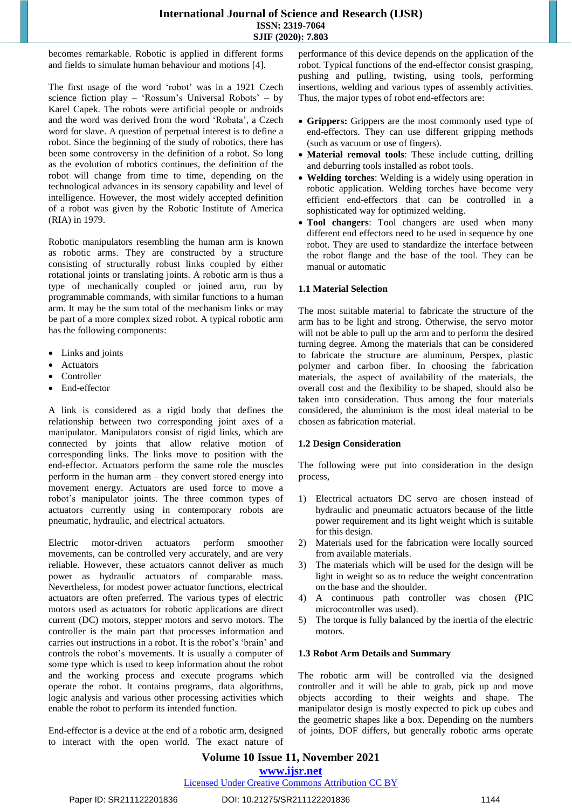## **International Journal of Science and Research (IJSR) ISSN: 2319-7064 SJIF (2020): 7.803**

becomes remarkable. Robotic is applied in different forms and fields to simulate human behaviour and motions [4].

The first usage of the word 'robot' was in a 1921 Czech science fiction play – 'Rossum's Universal Robots' – by Karel Capek. The robots were artificial people or androids and the word was derived from the word 'Robata', a Czech word for slave. A question of perpetual interest is to define a robot. Since the beginning of the study of robotics, there has been some controversy in the definition of a robot. So long as the evolution of robotics continues, the definition of the robot will change from time to time, depending on the technological advances in its sensory capability and level of intelligence. However, the most widely accepted definition of a robot was given by the Robotic Institute of America (RIA) in 1979.

Robotic manipulators resembling the human arm is known as robotic arms. They are constructed by a structure consisting of structurally robust links coupled by either rotational joints or translating joints. A robotic arm is thus a type of mechanically coupled or joined arm, run by programmable commands, with similar functions to a human arm. It may be the sum total of the mechanism links or may be part of a more complex sized robot. A typical robotic arm has the following components:

- Links and joints
- Actuators
- Controller
- End-effector

A link is considered as a rigid body that defines the relationship between two corresponding joint axes of a manipulator. Manipulators consist of rigid links, which are connected by joints that allow relative motion of corresponding links. The links move to position with the end-effector. Actuators perform the same role the muscles perform in the human arm – they convert stored energy into movement energy. Actuators are used force to move a robot's manipulator joints. The three common types of actuators currently using in contemporary robots are pneumatic, hydraulic, and electrical actuators.

Electric motor-driven actuators perform smoother movements, can be controlled very accurately, and are very reliable. However, these actuators cannot deliver as much power as hydraulic actuators of comparable mass. Nevertheless, for modest power actuator functions, electrical actuators are often preferred. The various types of electric motors used as actuators for robotic applications are direct current (DC) motors, stepper motors and servo motors. The controller is the main part that processes information and carries out instructions in a robot. It is the robot's 'brain' and controls the robot's movements. It is usually a computer of some type which is used to keep information about the robot and the working process and execute programs which operate the robot. It contains programs, data algorithms, logic analysis and various other processing activities which enable the robot to perform its intended function.

End-effector is a device at the end of a robotic arm, designed to interact with the open world. The exact nature of performance of this device depends on the application of the robot. Typical functions of the end-effector consist grasping, pushing and pulling, twisting, using tools, performing insertions, welding and various types of assembly activities. Thus, the major types of robot end-effectors are:

- **Grippers:** Grippers are the most commonly used type of end-effectors. They can use different gripping methods (such as vacuum or use of fingers).
- **Material removal tools**: These include cutting, drilling and deburring tools installed as robot tools.
- **Welding torches**: Welding is a widely using operation in robotic application. Welding torches have become very efficient end-effectors that can be controlled in a sophisticated way for optimized welding.
- **Tool changers**: Tool changers are used when many different end effectors need to be used in sequence by one robot. They are used to standardize the interface between the robot flange and the base of the tool. They can be manual or automatic

#### **1.1 Material Selection**

The most suitable material to fabricate the structure of the arm has to be light and strong. Otherwise, the servo motor will not be able to pull up the arm and to perform the desired turning degree. Among the materials that can be considered to fabricate the structure are aluminum, Perspex, plastic polymer and carbon fiber. In choosing the fabrication materials, the aspect of availability of the materials, the overall cost and the flexibility to be shaped, should also be taken into consideration. Thus among the four materials considered, the aluminium is the most ideal material to be chosen as fabrication material.

#### **1.2 Design Consideration**

The following were put into consideration in the design process,

- 1) Electrical actuators DC servo are chosen instead of hydraulic and pneumatic actuators because of the little power requirement and its light weight which is suitable for this design.
- 2) Materials used for the fabrication were locally sourced from available materials.
- 3) The materials which will be used for the design will be light in weight so as to reduce the weight concentration on the base and the shoulder.
- 4) A continuous path controller was chosen (PIC microcontroller was used).
- 5) The torque is fully balanced by the inertia of the electric motors.

#### **1.3 Robot Arm Details and Summary**

The robotic arm will be controlled via the designed controller and it will be able to grab, pick up and move objects according to their weights and shape. The manipulator design is mostly expected to pick up cubes and the geometric shapes like a box. Depending on the numbers of joints, DOF differs, but generally robotic arms operate

# **Volume 10 Issue 11, November 2021 www.ijsr.net**

# Licensed Under Creative Commons Attribution CC BY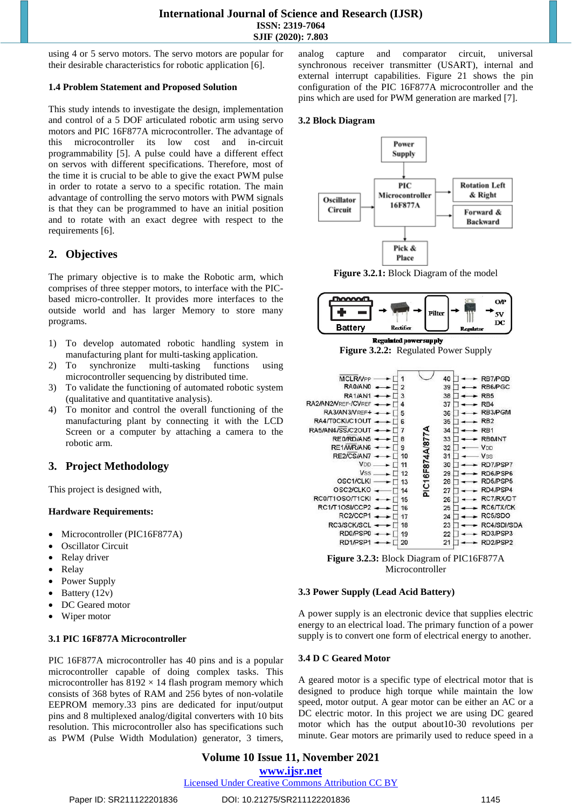using 4 or 5 servo motors. The servo motors are popular for their desirable characteristics for robotic application [6].

#### **1.4 Problem Statement and Proposed Solution**

This study intends to investigate the design, implementation and control of a 5 DOF articulated robotic arm using servo motors and PIC 16F877A microcontroller. The advantage of this microcontroller its low cost and in-circuit programmability [5]. A pulse could have a different effect on servos with different specifications. Therefore, most of the time it is crucial to be able to give the exact PWM pulse in order to rotate a servo to a specific rotation. The main advantage of controlling the servo motors with PWM signals is that they can be programmed to have an initial position and to rotate with an exact degree with respect to the requirements [6].

# **2. Objectives**

The primary objective is to make the Robotic arm, which comprises of three stepper motors, to interface with the PICbased micro-controller. It provides more interfaces to the outside world and has larger Memory to store many programs.

- 1) To develop automated robotic handling system in manufacturing plant for multi-tasking application.
- 2) To synchronize multi-tasking functions using microcontroller sequencing by distributed time.
- 3) To validate the functioning of automated robotic system (qualitative and quantitative analysis).
- 4) To monitor and control the overall functioning of the manufacturing plant by connecting it with the LCD Screen or a computer by attaching a camera to the robotic arm.

# **3. Project Methodology**

This project is designed with,

#### **Hardware Requirements:**

- Microcontroller (PIC16F877A)
- Oscillator Circuit
- Relay driver
- Relay
- Power Supply
- Battery (12v)
- DC Geared motor
- Wiper motor

#### **3.1 PIC 16F877A Microcontroller**

PIC 16F877A microcontroller has 40 pins and is a popular microcontroller capable of doing complex tasks. This microcontroller has  $8192 \times 14$  flash program memory which consists of 368 bytes of RAM and 256 bytes of non-volatile EEPROM memory.33 pins are dedicated for input/output pins and 8 multiplexed analog/digital converters with 10 bits resolution. This microcontroller also has specifications such as PWM (Pulse Width Modulation) generator, 3 timers,

analog capture and comparator circuit, universal synchronous receiver transmitter (USART), internal and external interrupt capabilities. Figure 21 shows the pin configuration of the PIC 16F877A microcontroller and the pins which are used for PWM generation are marked [7].

#### **3.2 Block Diagram**







**Regulated power supply Figure 3.2.2:** Regulated Power Supply



**Figure 3.2.3:** Block Diagram of PIC16F877A Microcontroller

#### **3.3 Power Supply (Lead Acid Battery)**

A power supply is an electronic device that supplies electric energy to an electrical load. The primary function of a power supply is to convert one form of electrical energy to another.

#### **3.4 D C Geared Motor**

A geared motor is a specific type of electrical motor that is designed to produce high torque while maintain the low speed, motor output. A gear motor can be either an AC or a DC electric motor. In this project we are using DC geared motor which has the output about10-30 revolutions per minute. Gear motors are primarily used to reduce speed in a

# **Volume 10 Issue 11, November 2021**

**www.ijsr.net**

Licensed Under Creative Commons Attribution CC BY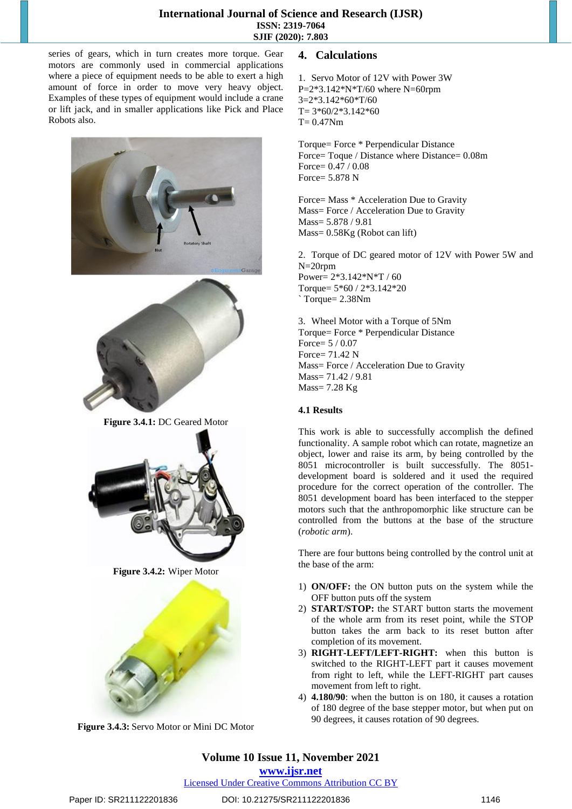# **International Journal of Science and Research (IJSR) ISSN: 2319-7064 SJIF (2020): 7.803**

series of gears, which in turn creates more torque. Gear motors are commonly used in commercial applications where a piece of equipment needs to be able to exert a high amount of force in order to move very heavy object. Examples of these types of equipment would include a crane or lift jack, and in smaller applications like Pick and Place Robots also.





**Figure 3.4.1:** DC Geared Motor



**Figure 3.4.2:** Wiper Motor



**Figure 3.4.3:** Servo Motor or Mini DC Motor

# **4. Calculations**

1. Servo Motor of 12V with Power 3W  $P=2*3.142*N*T/60$  where N=60rpm 3=2\*3.142\*60\*T/60  $T= 3*60/2*3.142*60$  $T= 0.47Nm$ 

Torque= Force \* Perpendicular Distance Force= Toque / Distance where Distance= 0.08m Force= 0.47 / 0.08 Force= 5.878 N

Force= Mass \* Acceleration Due to Gravity Mass= Force / Acceleration Due to Gravity Mass= 5.878 / 9.81 Mass= 0.58Kg (Robot can lift)

2. Torque of DC geared motor of 12V with Power 5W and N=20rpm Power= 2\*3.142\*N\*T / 60 Torque= 5\*60 / 2\*3.142\*20 ` Torque= 2.38Nm

3. Wheel Motor with a Torque of 5Nm Torque= Force \* Perpendicular Distance Force= 5 / 0.07 Force=  $71.42$  N Mass= Force / Acceleration Due to Gravity Mass= 71.42 / 9.81  $Mass = 7.28$  Kg

# **4.1 Results**

This work is able to successfully accomplish the defined functionality. A sample robot which can rotate, magnetize an object, lower and raise its arm, by being controlled by the 8051 microcontroller is built successfully. The 8051 development board is soldered and it used the required procedure for the correct operation of the controller. The 8051 development board has been interfaced to the stepper motors such that the anthropomorphic like structure can be controlled from the buttons at the base of the structure (*robotic arm*).

There are four buttons being controlled by the control unit at the base of the arm:

- 1) **ON/OFF:** the ON button puts on the system while the OFF button puts off the system
- 2) **START/STOP:** the START button starts the movement of the whole arm from its reset point, while the STOP button takes the arm back to its reset button after completion of its movement.
- 3) **RIGHT-LEFT/LEFT-RIGHT:** when this button is switched to the RIGHT-LEFT part it causes movement from right to left, while the LEFT-RIGHT part causes movement from left to right.
- 4) **4.180/90**: when the button is on 180, it causes a rotation of 180 degree of the base stepper motor, but when put on 90 degrees, it causes rotation of 90 degrees.

# **Volume 10 Issue 11, November 2021**

**www.ijsr.net**

Licensed Under Creative Commons Attribution CC BY

# Paper ID: SR211122201836 DOI: 10.21275/SR211122201836 1146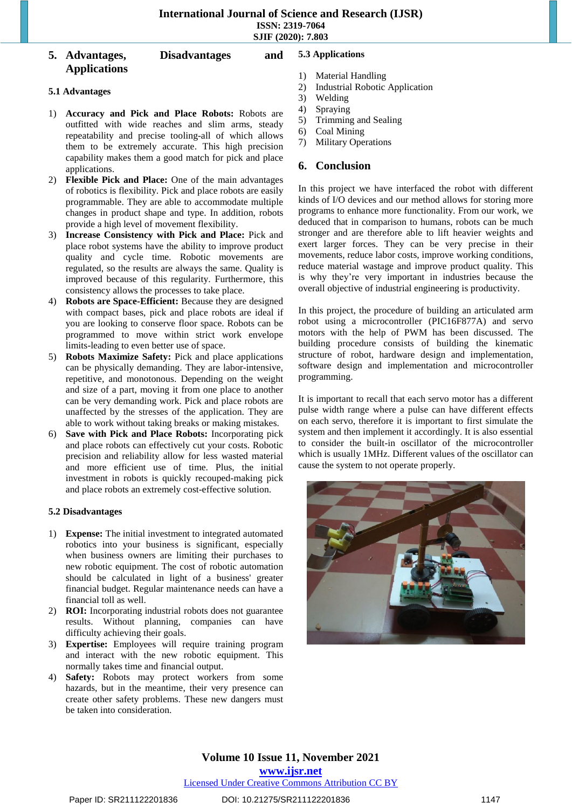#### **5. Advantages, Disadvantages and Applications 5.3 Applications**

#### **5.1 Advantages**

- 1) **Accuracy and Pick and Place Robots:** Robots are outfitted with wide reaches and slim arms, steady repeatability and precise tooling-all of which allows them to be extremely accurate. This high precision capability makes them a good match for pick and place applications.
- 2) **Flexible Pick and Place:** One of the main advantages of robotics is flexibility. Pick and place robots are easily programmable. They are able to accommodate multiple changes in product shape and type. In addition, robots provide a high level of movement flexibility.
- 3) **Increase Consistency with Pick and Place:** Pick and place robot systems have the ability to improve product quality and cycle time. Robotic movements are regulated, so the results are always the same. Quality is improved because of this regularity. Furthermore, this consistency allows the processes to take place.
- 4) **Robots are Space-Efficient:** Because they are designed with compact bases, pick and place robots are ideal if you are looking to conserve floor space. Robots can be programmed to move within strict work envelope limits-leading to even better use of space.
- 5) **Robots Maximize Safety:** Pick and place applications can be physically demanding. They are labor-intensive, repetitive, and monotonous. Depending on the weight and size of a part, moving it from one place to another can be very demanding work. Pick and place robots are unaffected by the stresses of the application. They are able to work without taking breaks or making mistakes.
- 6) **Save with Pick and Place Robots:** Incorporating pick and place robots can effectively cut your costs. Robotic precision and reliability allow for less wasted material and more efficient use of time. Plus, the initial investment in robots is quickly recouped-making pick and place robots an extremely cost-effective solution.

#### **5.2 Disadvantages**

- 1) **Expense:** The initial investment to integrated automated robotics into your business is significant, especially when business owners are limiting their purchases to new robotic equipment. The cost of robotic automation should be calculated in light of a business' greater financial budget. Regular maintenance needs can have a financial toll as well.
- 2) **ROI:** Incorporating industrial robots does not guarantee results. Without planning, companies can have difficulty achieving their goals.
- 3) **Expertise:** Employees will require training program and interact with the new robotic equipment. This normally takes time and financial output.
- 4) **Safety:** Robots may protect workers from some hazards, but in the meantime, their very presence can create other safety problems. These new dangers must be taken into consideration.
- 1) Material Handling
- 2) Industrial Robotic Application
- 3) Welding
- 4) Spraying
- 5) Trimming and Sealing
- 6) Coal Mining
- 7) Military Operations

# **6. Conclusion**

In this project we have interfaced the robot with different kinds of I/O devices and our method allows for storing more programs to enhance more functionality. From our work, we deduced that in comparison to humans, robots can be much stronger and are therefore able to lift heavier weights and exert larger forces. They can be very precise in their movements, reduce labor costs, improve working conditions, reduce material wastage and improve product quality. This is why they're very important in industries because the overall objective of industrial engineering is productivity.

In this project, the procedure of building an articulated arm robot using a microcontroller (PIC16F877A) and servo motors with the help of PWM has been discussed. The building procedure consists of building the kinematic structure of robot, hardware design and implementation, software design and implementation and microcontroller programming.

It is important to recall that each servo motor has a different pulse width range where a pulse can have different effects on each servo, therefore it is important to first simulate the system and then implement it accordingly. It is also essential to consider the built-in oscillator of the microcontroller which is usually 1MHz. Different values of the oscillator can cause the system to not operate properly.



**Volume 10 Issue 11, November 2021 www.ijsr.net** Licensed Under Creative Commons Attribution CC BY